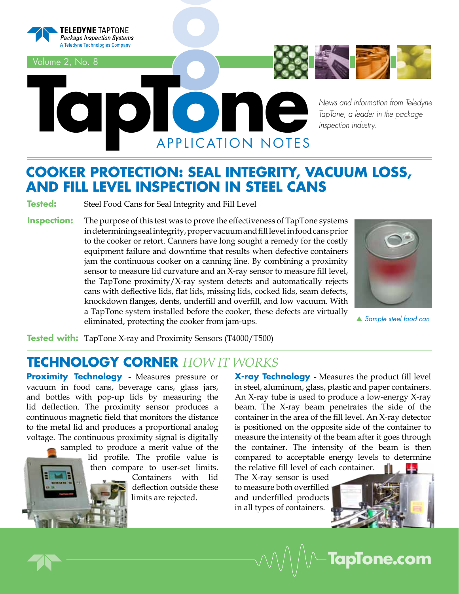

Volume 2, No. 8



*News and information from Teledyne TapTone, a leader in the package inspection industry.*

## **COOKER PROTECTION: SEAL INTEGRITY, VACUUM LOSS, AND FILL LEVEL INSPECTION IN STEEL CANS**

ATION NOTES

**Tested:** Steel Food Cans for Seal Integrity and Fill Level

**Inspection:** The purpose of this test was to prove the effectiveness of TapTone systems in determining seal integrity, proper vacuum and fill level in food cans prior to the cooker or retort. Canners have long sought a remedy for the costly equipment failure and downtime that results when defective containers jam the continuous cooker on a canning line. By combining a proximity sensor to measure lid curvature and an X-ray sensor to measure fill level, the TapTone proximity/X-ray system detects and automatically rejects cans with deflective lids, flat lids, missing lids, cocked lids, seam defects, knockdown flanges, dents, underfill and overfill, and low vacuum. With a TapTone system installed before the cooker, these defects are virtually eliminated, protecting the cooker from jam-ups.



p *Sample steel food can*

**Tested with:** TapTone X-ray and Proximity Sensors (T4000/T500)

### **TECHNOLOGY CORNER** *How it works*

**Proximity Technology - Measures pressure or** vacuum in food cans, beverage cans, glass jars, and bottles with pop-up lids by measuring the lid deflection. The proximity sensor produces a continuous magnetic field that monitors the distance to the metal lid and produces a proportional analog voltage. The continuous proximity signal is digitally

sampled to produce a merit value of the lid profile. The profile value is then compare to user-set limits.

Containers with lid deflection outside these limits are rejected.

**X-ray Technology** - Measures the product fill level in steel, aluminum, glass, plastic and paper containers. An X-ray tube is used to produce a low-energy X-ray beam. The X-ray beam penetrates the side of the container in the area of the fill level. An X-ray detector is positioned on the opposite side of the container to measure the intensity of the beam after it goes through the container. The intensity of the beam is then compared to acceptable energy levels to determine the relative fill level of each container.

The X-ray sensor is used to measure both overfilled and underfilled products in all types of containers.



**TapTone.com**

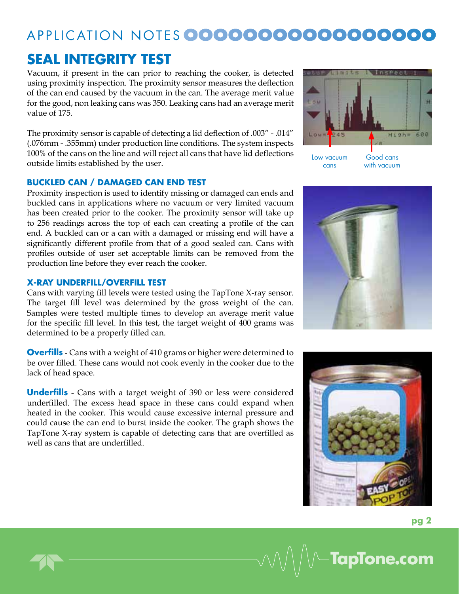## Applic ation N otes**ooooooooooooooooo**

## **SEAL INTEGRITY TEST**

Vacuum, if present in the can prior to reaching the cooker, is detected using proximity inspection. The proximity sensor measures the deflection of the can end caused by the vacuum in the can. The average merit value for the good, non leaking cans was 350. Leaking cans had an average merit value of 175.

The proximity sensor is capable of detecting a lid deflection of .003" - .014" (.076mm - .355mm) under production line conditions. The system inspects 100% of the cans on the line and will reject all cans that have lid deflections outside limits established by the user.

#### **BUCKLED CAN / DAMAGED CAN END TEST**

Proximity inspection is used to identify missing or damaged can ends and buckled cans in applications where no vacuum or very limited vacuum has been created prior to the cooker. The proximity sensor will take up to 256 readings across the top of each can creating a profile of the can end. A buckled can or a can with a damaged or missing end will have a significantly different profile from that of a good sealed can. Cans with profiles outside of user set acceptable limits can be removed from the production line before they ever reach the cooker.

#### **X-RAY UNDERFILL/OVERFILL TEST**

Cans with varying fill levels were tested using the TapTone X-ray sensor. The target fill level was determined by the gross weight of the can. Samples were tested multiple times to develop an average merit value for the specific fill level. In this test, the target weight of 400 grams was determined to be a properly filled can.

**Overfills** - Cans with a weight of 410 grams or higher were determined to be over filled. These cans would not cook evenly in the cooker due to the lack of head space.

**Underfills** - Cans with a target weight of 390 or less were considered underfilled. The excess head space in these cans could expand when heated in the cooker. This would cause excessive internal pressure and could cause the can end to burst inside the cooker. The graph shows the TapTone X-ray system is capable of detecting cans that are overfilled as well as cans that are underfilled.







**TapTone.com**